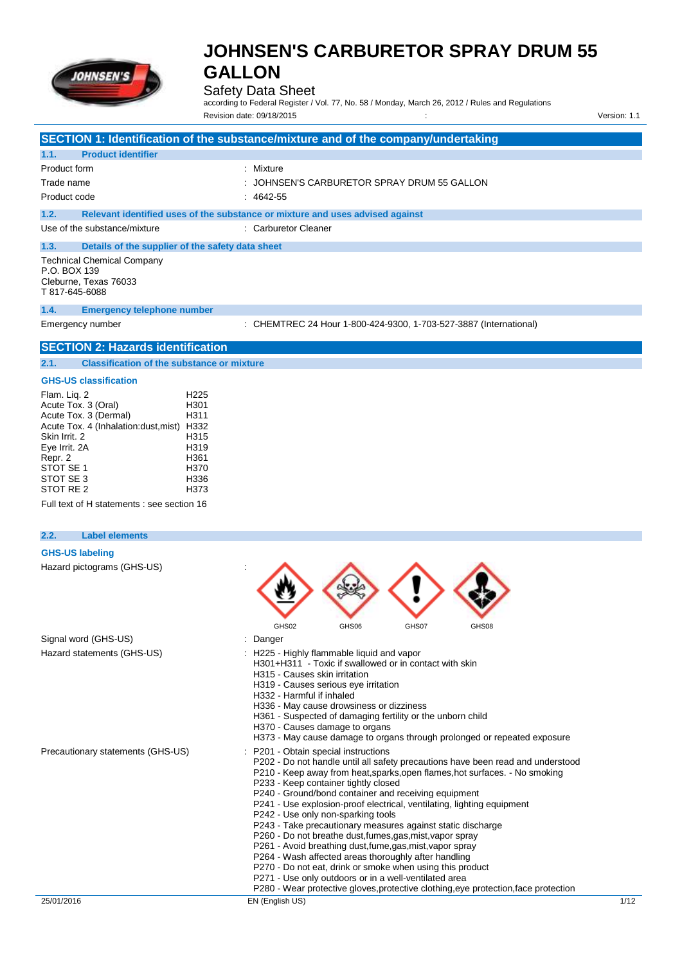

### Safety Data Sheet

according to Federal Register / Vol. 77, No. 58 / Monday, March 26, 2012 / Rules and Regulations Revision date: 09/18/2015 : Version: 1.1

 $\bigtriangleup$   $\bigtriangleup$   $\bigtriangleup$ 

|                                                                                              | SECTION 1: Identification of the substance/mixture and of the company/undertaking |
|----------------------------------------------------------------------------------------------|-----------------------------------------------------------------------------------|
| <b>Product identifier</b><br>1.1.                                                            |                                                                                   |
| Product form                                                                                 | : Mixture                                                                         |
| Trade name                                                                                   | : JOHNSEN'S CARBURETOR SPRAY DRUM 55 GALLON                                       |
| Product code                                                                                 | $: 4642 - 55$                                                                     |
| 1.2.                                                                                         | Relevant identified uses of the substance or mixture and uses advised against     |
| Use of the substance/mixture                                                                 | : Carburetor Cleaner                                                              |
| 1.3.<br>Details of the supplier of the safety data sheet                                     |                                                                                   |
| <b>Technical Chemical Company</b><br>P.O. BOX 139<br>Cleburne, Texas 76033<br>T 817-645-6088 |                                                                                   |
| <b>Emergency telephone number</b><br>1.4.                                                    |                                                                                   |
| Emergency number                                                                             | : CHEMTREC 24 Hour 1-800-424-9300, 1-703-527-3887 (International)                 |
| <b>SECTION 2: Hazards identification</b>                                                     |                                                                                   |

**2.1. Classification of the substance or mixture**

#### **GHS-US classification**

| Flam. Lig. 2                          | H <sub>225</sub> |
|---------------------------------------|------------------|
| Acute Tox. 3 (Oral)                   | H <sub>301</sub> |
| Acute Tox. 3 (Dermal)                 | H311             |
| Acute Tox. 4 (Inhalation: dust, mist) | H332             |
| Skin Irrit, 2                         | H315             |
| Eye Irrit. 2A                         | H319             |
| Repr. 2                               | H361             |
| STOT SE 1                             | H370             |
| STOT SE 3                             | H336             |
| STOT RE 2                             | H373             |
|                                       |                  |

Full text of H statements : see section 16

### **2.2. Label elements**

#### **GHS-US labeling**

Hazard pictograms (GHS-US) in the state of the state of the state of the state of the state of the state of the state of the state of the state of the state of the state of the state of the state of the state of the state

|                                   | GHS02<br>GHS06<br>GHS07<br>GHS08                                                                                                                                                                                                                                                                                                                                                                                                                                                                                                                                                                                                                                                                                                                                                                                                                                                   |      |
|-----------------------------------|------------------------------------------------------------------------------------------------------------------------------------------------------------------------------------------------------------------------------------------------------------------------------------------------------------------------------------------------------------------------------------------------------------------------------------------------------------------------------------------------------------------------------------------------------------------------------------------------------------------------------------------------------------------------------------------------------------------------------------------------------------------------------------------------------------------------------------------------------------------------------------|------|
| Signal word (GHS-US)              | Danger                                                                                                                                                                                                                                                                                                                                                                                                                                                                                                                                                                                                                                                                                                                                                                                                                                                                             |      |
| Hazard statements (GHS-US)        | : H225 - Highly flammable liquid and vapor<br>H301+H311 - Toxic if swallowed or in contact with skin<br>H315 - Causes skin irritation<br>H319 - Causes serious eye irritation<br>H332 - Harmful if inhaled<br>H336 - May cause drowsiness or dizziness<br>H361 - Suspected of damaging fertility or the unborn child<br>H370 - Causes damage to organs<br>H373 - May cause damage to organs through prolonged or repeated exposure                                                                                                                                                                                                                                                                                                                                                                                                                                                 |      |
| Precautionary statements (GHS-US) | P201 - Obtain special instructions<br>P202 - Do not handle until all safety precautions have been read and understood<br>P210 - Keep away from heat, sparks, open flames, hot surfaces. - No smoking<br>P233 - Keep container tightly closed<br>P240 - Ground/bond container and receiving equipment<br>P241 - Use explosion-proof electrical, ventilating, lighting equipment<br>P242 - Use only non-sparking tools<br>P243 - Take precautionary measures against static discharge<br>P260 - Do not breathe dust, fumes, gas, mist, vapor spray<br>P261 - Avoid breathing dust, fume, gas, mist, vapor spray<br>P264 - Wash affected areas thoroughly after handling<br>P270 - Do not eat, drink or smoke when using this product<br>P271 - Use only outdoors or in a well-ventilated area<br>P280 - Wear protective gloves, protective clothing, eye protection, face protection |      |
| 25/01/2016                        | EN (English US)                                                                                                                                                                                                                                                                                                                                                                                                                                                                                                                                                                                                                                                                                                                                                                                                                                                                    | 1/12 |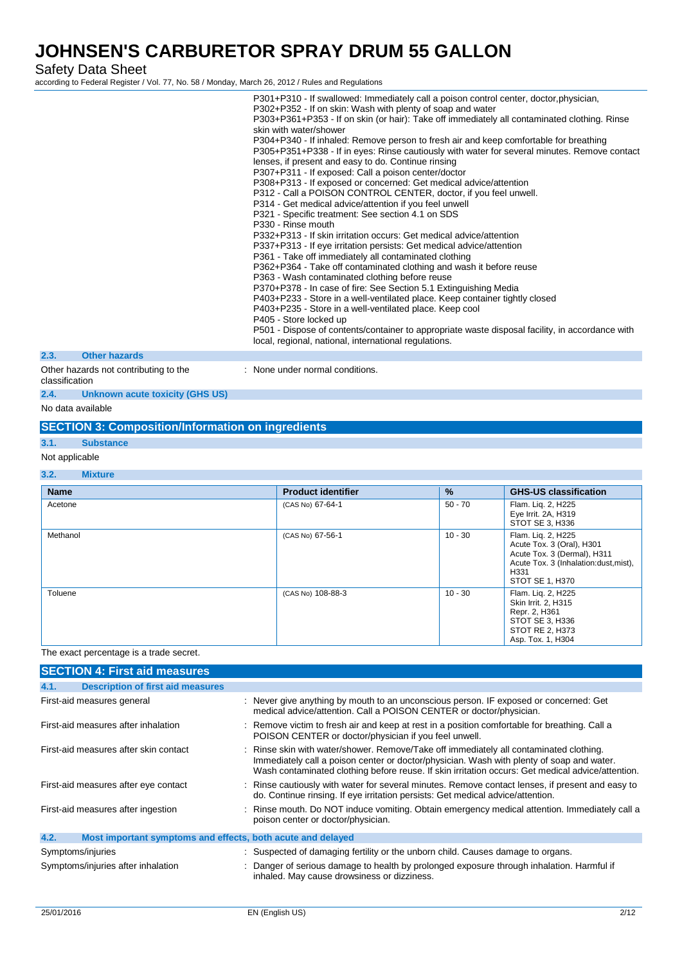Safety Data Sheet

according to Federal Register / Vol. 77, No. 58 / Monday, March 26, 2012 / Rules and Regulations

|                |                                       | P301+P310 - If swallowed: Immediately call a poison control center, doctor, physician,<br>P302+P352 - If on skin: Wash with plenty of soap and water<br>P303+P361+P353 - If on skin (or hair): Take off immediately all contaminated clothing. Rinse<br>skin with water/shower<br>P304+P340 - If inhaled: Remove person to fresh air and keep comfortable for breathing<br>P305+P351+P338 - If in eyes: Rinse cautiously with water for several minutes. Remove contact<br>lenses, if present and easy to do. Continue rinsing<br>P307+P311 - If exposed: Call a poison center/doctor<br>P308+P313 - If exposed or concerned: Get medical advice/attention<br>P312 - Call a POISON CONTROL CENTER, doctor, if you feel unwell.<br>P314 - Get medical advice/attention if you feel unwell<br>P321 - Specific treatment: See section 4.1 on SDS<br>P330 - Rinse mouth<br>P332+P313 - If skin irritation occurs: Get medical advice/attention<br>P337+P313 - If eye irritation persists: Get medical advice/attention<br>P361 - Take off immediately all contaminated clothing<br>P362+P364 - Take off contaminated clothing and wash it before reuse<br>P363 - Wash contaminated clothing before reuse<br>P370+P378 - In case of fire: See Section 5.1 Extinguishing Media<br>P403+P233 - Store in a well-ventilated place. Keep container tightly closed<br>P403+P235 - Store in a well-ventilated place. Keep cool<br>P405 - Store locked up<br>P501 - Dispose of contents/container to appropriate waste disposal facility, in accordance with<br>local, regional, national, international regulations. |
|----------------|---------------------------------------|----------------------------------------------------------------------------------------------------------------------------------------------------------------------------------------------------------------------------------------------------------------------------------------------------------------------------------------------------------------------------------------------------------------------------------------------------------------------------------------------------------------------------------------------------------------------------------------------------------------------------------------------------------------------------------------------------------------------------------------------------------------------------------------------------------------------------------------------------------------------------------------------------------------------------------------------------------------------------------------------------------------------------------------------------------------------------------------------------------------------------------------------------------------------------------------------------------------------------------------------------------------------------------------------------------------------------------------------------------------------------------------------------------------------------------------------------------------------------------------------------------------------------------------------------------------------------------------------------------|
| 2.3.           | <b>Other hazards</b>                  |                                                                                                                                                                                                                                                                                                                                                                                                                                                                                                                                                                                                                                                                                                                                                                                                                                                                                                                                                                                                                                                                                                                                                                                                                                                                                                                                                                                                                                                                                                                                                                                                          |
| classification | Other hazards not contributing to the | : None under normal conditions.                                                                                                                                                                                                                                                                                                                                                                                                                                                                                                                                                                                                                                                                                                                                                                                                                                                                                                                                                                                                                                                                                                                                                                                                                                                                                                                                                                                                                                                                                                                                                                          |

### **2.4. Unknown acute toxicity (GHS US)**

No data available

### **SECTION 3: Composition/Information on ingredients**

### **3.1. Substance**

Not applicable

#### **3.2. Mixture**

| <b>Name</b> | <b>Product identifier</b> | $\frac{9}{6}$ | <b>GHS-US classification</b>                                                                                                                       |
|-------------|---------------------------|---------------|----------------------------------------------------------------------------------------------------------------------------------------------------|
| Acetone     | (CAS No) 67-64-1          | $50 - 70$     | Flam. Lig. 2, H225<br>Eye Irrit. 2A, H319<br>STOT SE 3, H336                                                                                       |
| Methanol    | (CAS No) 67-56-1          | $10 - 30$     | Flam. Liq. 2, H225<br>Acute Tox. 3 (Oral), H301<br>Acute Tox. 3 (Dermal), H311<br>Acute Tox. 3 (Inhalation:dust, mist),<br>H331<br>STOT SE 1, H370 |
| Toluene     | (CAS No) 108-88-3         | $10 - 30$     | Flam. Lig. 2, H225<br>Skin Irrit. 2, H315<br>Repr. 2, H361<br>STOT SE 3, H336<br>STOT RE 2, H373<br>Asp. Tox. 1, H304                              |

#### The exact percentage is a trade secret.

| <b>SECTION 4: First aid measures</b>                                |                                                                                                                                                                                                                                                                                        |
|---------------------------------------------------------------------|----------------------------------------------------------------------------------------------------------------------------------------------------------------------------------------------------------------------------------------------------------------------------------------|
| 4.1.<br><b>Description of first aid measures</b>                    |                                                                                                                                                                                                                                                                                        |
| First-aid measures general                                          | : Never give anything by mouth to an unconscious person. IF exposed or concerned: Get<br>medical advice/attention. Call a POISON CENTER or doctor/physician.                                                                                                                           |
| First-aid measures after inhalation                                 | : Remove victim to fresh air and keep at rest in a position comfortable for breathing. Call a<br>POISON CENTER or doctor/physician if you feel unwell.                                                                                                                                 |
| First-aid measures after skin contact<br>÷                          | Rinse skin with water/shower. Remove/Take off immediately all contaminated clothing.<br>Immediately call a poison center or doctor/physician. Wash with plenty of soap and water.<br>Wash contaminated clothing before reuse. If skin irritation occurs: Get medical advice/attention. |
| First-aid measures after eye contact                                | Rinse cautiously with water for several minutes. Remove contact lenses, if present and easy to<br>do. Continue rinsing. If eye irritation persists: Get medical advice/attention.                                                                                                      |
| First-aid measures after ingestion                                  | Rinse mouth. Do NOT induce vomiting. Obtain emergency medical attention. Immediately call a<br>poison center or doctor/physician.                                                                                                                                                      |
| 4.2.<br>Most important symptoms and effects, both acute and delayed |                                                                                                                                                                                                                                                                                        |
| Symptoms/injuries                                                   | : Suspected of damaging fertility or the unborn child. Causes damage to organs.                                                                                                                                                                                                        |
| Symptoms/injuries after inhalation                                  | Danger of serious damage to health by prolonged exposure through inhalation. Harmful if<br>inhaled. May cause drowsiness or dizziness.                                                                                                                                                 |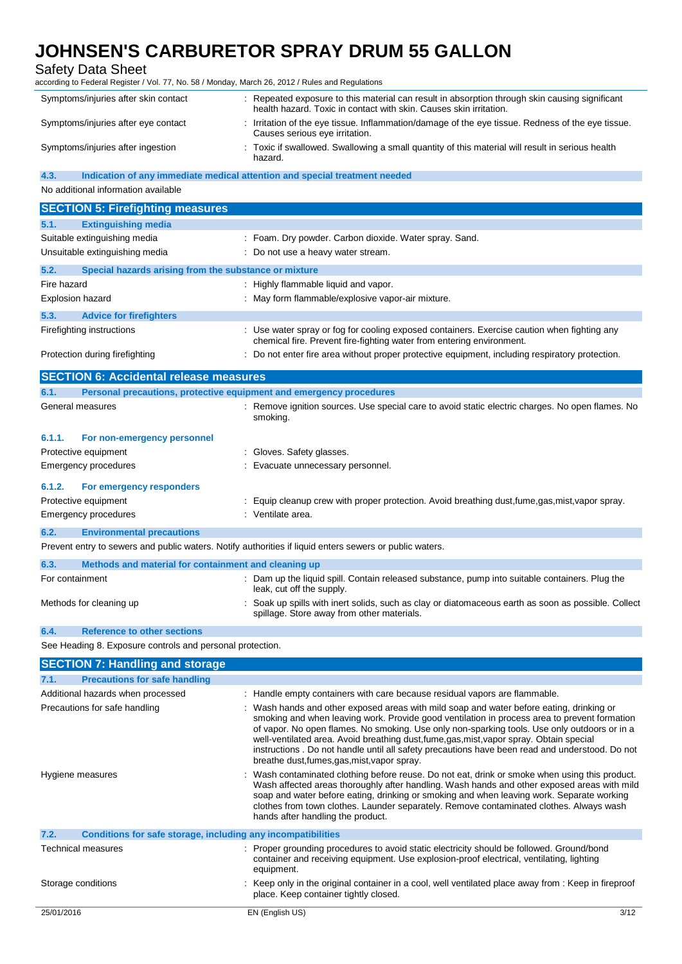Safety Data Sheet

according to Federal Register / Vol. 77, No. 58 / Monday, March 26, 2012 / Rules and Regulations

| Symptoms/injuries after skin contact | : Repeated exposure to this material can result in absorption through skin causing significant<br>health hazard. Toxic in contact with skin. Causes skin irritation. |
|--------------------------------------|----------------------------------------------------------------------------------------------------------------------------------------------------------------------|
| Symptoms/injuries after eye contact  | : Irritation of the eye tissue. Inflammation/damage of the eye tissue. Redness of the eye tissue.<br>Causes serious eye irritation.                                  |
| Symptoms/injuries after ingestion    | : Toxic if swallowed. Swallowing a small quantity of this material will result in serious health<br>hazard.                                                          |

**4.3. Indication of any immediate medical attention and special treatment needed**

No additional information available

| 5.2.<br>Special hazards arising from the substance or mixture                                   |  |  |
|-------------------------------------------------------------------------------------------------|--|--|
|                                                                                                 |  |  |
|                                                                                                 |  |  |
|                                                                                                 |  |  |
| : Use water spray or fog for cooling exposed containers. Exercise caution when fighting any     |  |  |
| : Do not enter fire area without proper protective equipment, including respiratory protection. |  |  |
|                                                                                                 |  |  |

| <b>SECTION 6: Accidental release measures</b>                |                                                                                                                                                 |  |  |
|--------------------------------------------------------------|-------------------------------------------------------------------------------------------------------------------------------------------------|--|--|
| 6.1.                                                         | Personal precautions, protective equipment and emergency procedures                                                                             |  |  |
| General measures                                             | : Remove ignition sources. Use special care to avoid static electric charges. No open flames. No<br>smoking.                                    |  |  |
| 6.1.1.<br>For non-emergency personnel                        |                                                                                                                                                 |  |  |
| Protective equipment                                         | : Gloves. Safety glasses.                                                                                                                       |  |  |
| Emergency procedures                                         | : Evacuate unnecessary personnel.                                                                                                               |  |  |
| For emergency responders<br>6.1.2.                           |                                                                                                                                                 |  |  |
| Protective equipment                                         | Equip cleanup crew with proper protection. Avoid breathing dust, fume, gas, mist, vapor spray.                                                  |  |  |
| Emergency procedures                                         | : Ventilate area.                                                                                                                               |  |  |
| 6.2.<br><b>Environmental precautions</b>                     |                                                                                                                                                 |  |  |
|                                                              | Prevent entry to sewers and public waters. Notify authorities if liquid enters sewers or public waters.                                         |  |  |
| Methods and material for containment and cleaning up<br>6.3. |                                                                                                                                                 |  |  |
| For containment                                              | : Dam up the liquid spill. Contain released substance, pump into suitable containers. Plug the<br>leak, cut off the supply.                     |  |  |
| Methods for cleaning up                                      | Soak up spills with inert solids, such as clay or diatomaceous earth as soon as possible. Collect<br>spillage. Store away from other materials. |  |  |
| <b>Reference to other sections</b><br>6.4.                   |                                                                                                                                                 |  |  |
| See Heading 8. Exposure controls and personal protection.    |                                                                                                                                                 |  |  |
| <b>SECTION 7: Handling and storage</b>                       |                                                                                                                                                 |  |  |

| <b>Precautions for safe handling</b><br>7.1.                         |                                                                                                                                                                                                                                                                                                                                                                                                                                                                                                                                         |      |
|----------------------------------------------------------------------|-----------------------------------------------------------------------------------------------------------------------------------------------------------------------------------------------------------------------------------------------------------------------------------------------------------------------------------------------------------------------------------------------------------------------------------------------------------------------------------------------------------------------------------------|------|
| Additional hazards when processed                                    | : Handle empty containers with care because residual vapors are flammable.                                                                                                                                                                                                                                                                                                                                                                                                                                                              |      |
| Precautions for safe handling                                        | : Wash hands and other exposed areas with mild soap and water before eating, drinking or<br>smoking and when leaving work. Provide good ventilation in process area to prevent formation<br>of vapor. No open flames. No smoking. Use only non-sparking tools. Use only outdoors or in a<br>well-ventilated area. Avoid breathing dust, fume, gas, mist, vapor spray. Obtain special<br>instructions . Do not handle until all safety precautions have been read and understood. Do not<br>breathe dust, fumes, gas, mist, vapor spray. |      |
| Hygiene measures                                                     | : Wash contaminated clothing before reuse. Do not eat, drink or smoke when using this product.<br>Wash affected areas thoroughly after handling. Wash hands and other exposed areas with mild<br>soap and water before eating, drinking or smoking and when leaving work. Separate working<br>clothes from town clothes. Launder separately. Remove contaminated clothes. Always wash<br>hands after handling the product.                                                                                                              |      |
| 7.2.<br>Conditions for safe storage, including any incompatibilities |                                                                                                                                                                                                                                                                                                                                                                                                                                                                                                                                         |      |
| Technical measures                                                   | : Proper grounding procedures to avoid static electricity should be followed. Ground/bond<br>container and receiving equipment. Use explosion-proof electrical, ventilating, lighting<br>equipment.                                                                                                                                                                                                                                                                                                                                     |      |
| Storage conditions                                                   | : Keep only in the original container in a cool, well ventilated place away from : Keep in fireproof<br>place. Keep container tightly closed.                                                                                                                                                                                                                                                                                                                                                                                           |      |
| 25/01/2016                                                           | EN (English US)                                                                                                                                                                                                                                                                                                                                                                                                                                                                                                                         | 3/12 |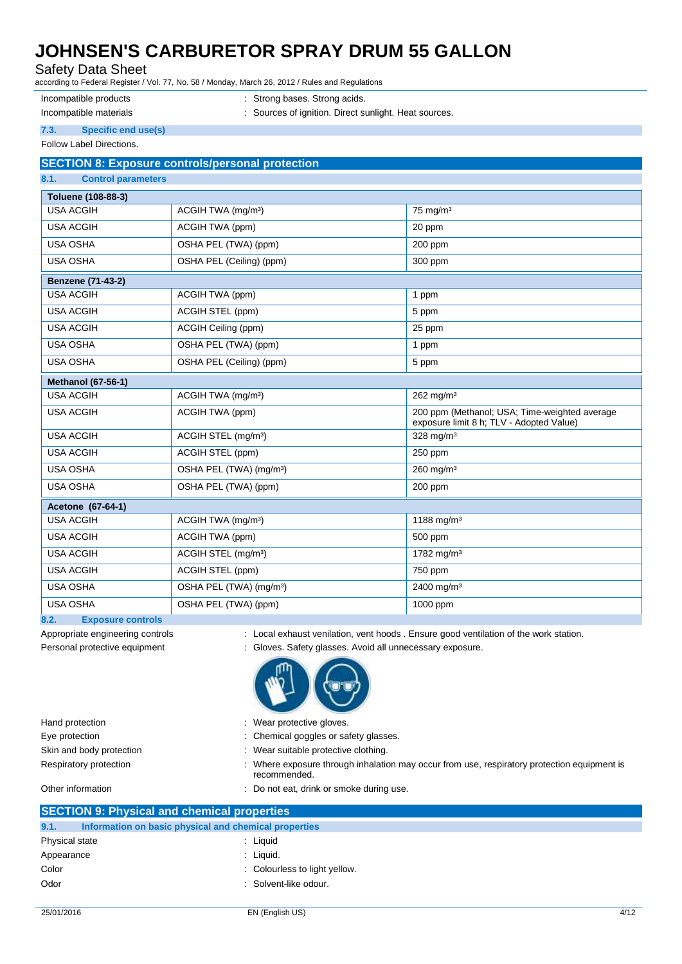Safety Data Sheet

according to Federal Register / Vol. 77, No. 58 / Monday, March 26, 2012 / Rules and Regulations

Incompatible products : Strong bases. Strong acids.

- Incompatible materials : Sources of ignition. Direct sunlight. Heat sources.
- **7.3. Specific end use(s)**

Follow Label Directions.

## **SECTION 8: Exposure controls/personal protection**

| <b>Control parameters</b><br>8.1. |                                     |                                                                                           |  |
|-----------------------------------|-------------------------------------|-------------------------------------------------------------------------------------------|--|
| Toluene (108-88-3)                |                                     |                                                                                           |  |
| <b>USA ACGIH</b>                  | ACGIH TWA (mg/m <sup>3</sup> )      | $75 \text{ mg/m}^3$                                                                       |  |
| <b>USA ACGIH</b>                  | ACGIH TWA (ppm)                     | 20 ppm                                                                                    |  |
| <b>USA OSHA</b>                   | OSHA PEL (TWA) (ppm)                | 200 ppm                                                                                   |  |
| <b>USA OSHA</b>                   | OSHA PEL (Ceiling) (ppm)            | 300 ppm                                                                                   |  |
| Benzene (71-43-2)                 |                                     |                                                                                           |  |
| <b>USA ACGIH</b>                  | ACGIH TWA (ppm)                     | 1 ppm                                                                                     |  |
| <b>USA ACGIH</b>                  | ACGIH STEL (ppm)                    | 5 ppm                                                                                     |  |
| <b>USA ACGIH</b>                  | ACGIH Ceiling (ppm)                 | 25 ppm                                                                                    |  |
| <b>USA OSHA</b>                   | OSHA PEL (TWA) (ppm)                | 1 ppm                                                                                     |  |
| <b>USA OSHA</b>                   | OSHA PEL (Ceiling) (ppm)            | 5 ppm                                                                                     |  |
| Methanol (67-56-1)                |                                     |                                                                                           |  |
| <b>USA ACGIH</b>                  | ACGIH TWA (mg/m <sup>3</sup> )      | $262$ mg/m <sup>3</sup>                                                                   |  |
| <b>USA ACGIH</b>                  | ACGIH TWA (ppm)                     | 200 ppm (Methanol; USA; Time-weighted average<br>exposure limit 8 h; TLV - Adopted Value) |  |
| <b>USA ACGIH</b>                  | ACGIH STEL (mg/m <sup>3</sup> )     | 328 mg/m <sup>3</sup>                                                                     |  |
| <b>USA ACGIH</b>                  | ACGIH STEL (ppm)                    | 250 ppm                                                                                   |  |
| <b>USA OSHA</b>                   | OSHA PEL (TWA) (mg/m <sup>3</sup> ) | $260$ mg/m <sup>3</sup>                                                                   |  |
| <b>USA OSHA</b>                   | OSHA PEL (TWA) (ppm)                | 200 ppm                                                                                   |  |
| Acetone (67-64-1)                 |                                     |                                                                                           |  |
| <b>USA ACGIH</b>                  | ACGIH TWA (mg/m <sup>3</sup> )      | 1188 mg/m <sup>3</sup>                                                                    |  |
| <b>USA ACGIH</b>                  | ACGIH TWA (ppm)                     | 500 ppm                                                                                   |  |
| <b>USA ACGIH</b>                  | ACGIH STEL (mg/m <sup>3</sup> )     | 1782 mg/m <sup>3</sup>                                                                    |  |
| <b>USA ACGIH</b>                  | ACGIH STEL (ppm)                    | 750 ppm                                                                                   |  |
| <b>USA OSHA</b>                   | OSHA PEL (TWA) (mg/m <sup>3</sup> ) | 2400 mg/m <sup>3</sup>                                                                    |  |
| <b>USA OSHA</b>                   | OSHA PEL (TWA) (ppm)                | 1000 ppm                                                                                  |  |

**8.2. Exposure controls**

- Appropriate engineering controls : Local exhaust venilation, vent hoods . Ensure good ventilation of the work station.
- Personal protective equipment : Gloves. Safety glasses. Avoid all unnecessary exposure.



| Hand protection                                               | : Wear protective gloves.                                                                                   |
|---------------------------------------------------------------|-------------------------------------------------------------------------------------------------------------|
| Eye protection                                                | : Chemical goggles or safety glasses.                                                                       |
| Skin and body protection                                      | : Wear suitable protective clothing.                                                                        |
| Respiratory protection                                        | : Where exposure through inhalation may occur from use, respiratory protection equipment is<br>recommended. |
| Other information                                             | : Do not eat, drink or smoke during use.                                                                    |
| <b>SECTION 9: Physical and chemical properties</b>            |                                                                                                             |
| 9.1.<br>Information on basic physical and chemical properties |                                                                                                             |

| 9.1.           | Information on basic physical and chemical properties |                               |
|----------------|-------------------------------------------------------|-------------------------------|
| Physical state |                                                       | : Liquid                      |
| Appearance     |                                                       | : Liquid.                     |
| Color          |                                                       | : Colourless to light yellow. |
| Odor           |                                                       | : Solvent-like odour.         |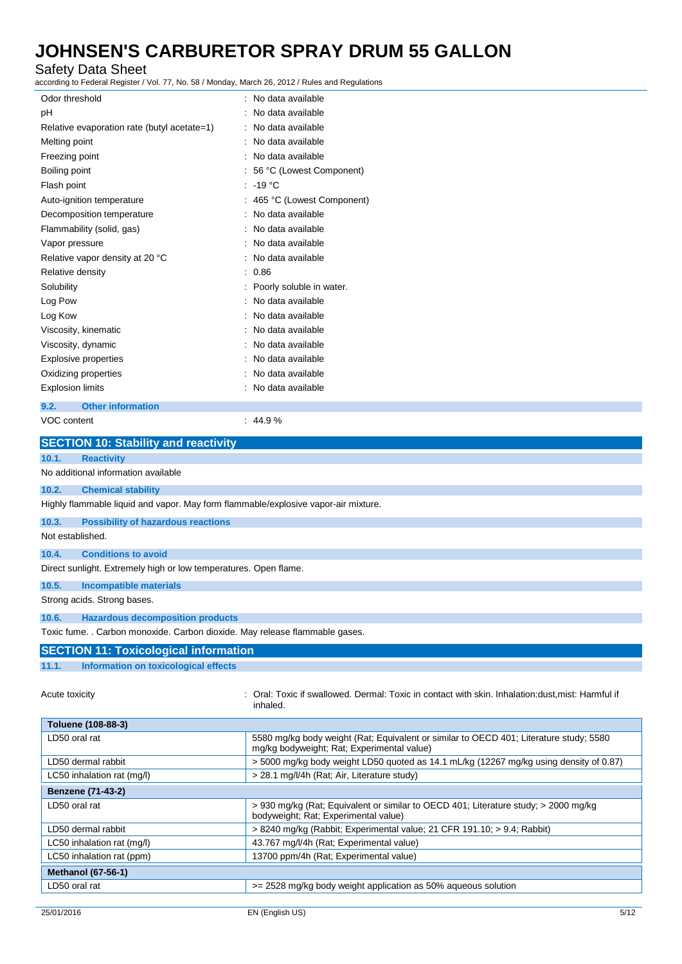### Safety Data Sheet

according to Federal Register / Vol. 77, No. 58 / Monday, March 26, 2012 / Rules and Regulations

| Odor threshold                                                                     | No data available                                                                                                                     |
|------------------------------------------------------------------------------------|---------------------------------------------------------------------------------------------------------------------------------------|
| рH                                                                                 | No data available                                                                                                                     |
| Relative evaporation rate (butyl acetate=1)                                        | No data available                                                                                                                     |
| Melting point                                                                      | No data available                                                                                                                     |
| Freezing point                                                                     | No data available                                                                                                                     |
| <b>Boiling point</b>                                                               | 56 °C (Lowest Component)                                                                                                              |
| Flash point                                                                        | $-19 °C$                                                                                                                              |
| Auto-ignition temperature                                                          | 465 °C (Lowest Component)                                                                                                             |
| Decomposition temperature                                                          | No data available                                                                                                                     |
| Flammability (solid, gas)                                                          | No data available                                                                                                                     |
| Vapor pressure                                                                     | No data available                                                                                                                     |
| Relative vapor density at 20 °C                                                    | No data available                                                                                                                     |
| Relative density                                                                   | 0.86                                                                                                                                  |
| Solubility                                                                         | Poorly soluble in water.                                                                                                              |
| Log Pow                                                                            | No data available                                                                                                                     |
| Log Kow                                                                            | No data available                                                                                                                     |
| Viscosity, kinematic                                                               | No data available                                                                                                                     |
| Viscosity, dynamic                                                                 | No data available                                                                                                                     |
| <b>Explosive properties</b>                                                        | No data available                                                                                                                     |
| Oxidizing properties                                                               | No data available                                                                                                                     |
| <b>Explosion limits</b>                                                            | No data available                                                                                                                     |
| <b>Other information</b><br>9.2.                                                   |                                                                                                                                       |
| VOC content                                                                        | : 44.9%                                                                                                                               |
|                                                                                    |                                                                                                                                       |
| <b>SECTION 10: Stability and reactivity</b>                                        |                                                                                                                                       |
| 10.1.<br><b>Reactivity</b>                                                         |                                                                                                                                       |
| No additional information available                                                |                                                                                                                                       |
| <b>Chemical stability</b><br>10.2.                                                 |                                                                                                                                       |
| Highly flammable liquid and vapor. May form flammable/explosive vapor-air mixture. |                                                                                                                                       |
| 10.3.<br><b>Possibility of hazardous reactions</b>                                 |                                                                                                                                       |
| Not established.                                                                   |                                                                                                                                       |
| <b>Conditions to avoid</b><br>10.4.                                                |                                                                                                                                       |
| Direct sunlight. Extremely high or low temperatures. Open flame.                   |                                                                                                                                       |
| 10.5.<br><b>Incompatible materials</b>                                             |                                                                                                                                       |
| Strong acids. Strong bases.                                                        |                                                                                                                                       |
| 10.6.<br><b>Hazardous decomposition products</b>                                   |                                                                                                                                       |
| Toxic fume. . Carbon monoxide. Carbon dioxide. May release flammable gases.        |                                                                                                                                       |
| <b>SECTION 11: Toxicological information</b>                                       |                                                                                                                                       |
| 11.1.<br><b>Information on toxicological effects</b>                               |                                                                                                                                       |
| Acute toxicity                                                                     | : Oral: Toxic if swallowed. Dermal: Toxic in contact with skin. Inhalation:dust,mist: Harmful if<br>inhaled.                          |
| Toluene (108-88-3)                                                                 |                                                                                                                                       |
| LD50 oral rat                                                                      | 5580 mg/kg body weight (Rat; Equivalent or similar to OECD 401; Literature study; 5580<br>mg/kg bodyweight; Rat; Experimental value)  |
| LD50 dermal rabbit                                                                 | > 5000 mg/kg body weight LD50 quoted as 14.1 mL/kg (12267 mg/kg using density of 0.87)<br>> 28.1 mg/l/4h (Rat; Air, Literature study) |

|                            | inhaled.                                                                                                                             |
|----------------------------|--------------------------------------------------------------------------------------------------------------------------------------|
| Toluene (108-88-3)         |                                                                                                                                      |
| LD50 oral rat              | 5580 mg/kg body weight (Rat; Equivalent or similar to OECD 401; Literature study; 5580<br>mg/kg bodyweight; Rat; Experimental value) |
| LD50 dermal rabbit         | > 5000 mg/kg body weight LD50 quoted as 14.1 mL/kg (12267 mg/kg using density of 0.87)                                               |
| LC50 inhalation rat (mg/l) | > 28.1 mg/l/4h (Rat; Air, Literature study)                                                                                          |
| <b>Benzene (71-43-2)</b>   |                                                                                                                                      |
| LD50 oral rat              | > 930 mg/kg (Rat; Equivalent or similar to OECD 401; Literature study; > 2000 mg/kg<br>bodyweight; Rat; Experimental value)          |
| LD50 dermal rabbit         | > 8240 mg/kg (Rabbit; Experimental value; 21 CFR 191.10; > 9.4; Rabbit)                                                              |
| LC50 inhalation rat (mg/l) | 43.767 mg/l/4h (Rat; Experimental value)                                                                                             |
| LC50 inhalation rat (ppm)  | 13700 ppm/4h (Rat; Experimental value)                                                                                               |
| <b>Methanol (67-56-1)</b>  |                                                                                                                                      |
| LD50 oral rat              | >= 2528 mg/kg body weight application as 50% aqueous solution                                                                        |
|                            |                                                                                                                                      |
| 25/01/2016                 | 5/12<br>EN (English US)                                                                                                              |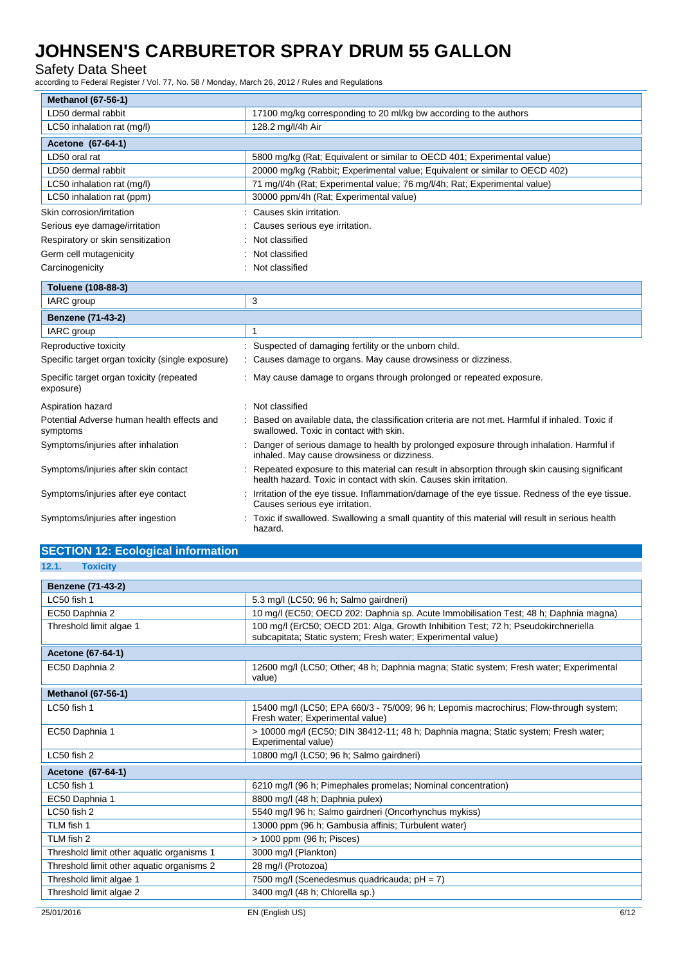Safety Data Sheet

according to Federal Register / Vol. 77, No. 58 / Monday, March 26, 2012 / Rules and Regulations

| <b>Methanol (67-56-1)</b>                              |                                                                                                                                                                    |
|--------------------------------------------------------|--------------------------------------------------------------------------------------------------------------------------------------------------------------------|
| LD50 dermal rabbit                                     | 17100 mg/kg corresponding to 20 ml/kg bw according to the authors                                                                                                  |
| LC50 inhalation rat (mg/l)                             | 128.2 mg/l/4h Air                                                                                                                                                  |
| Acetone (67-64-1)                                      |                                                                                                                                                                    |
| LD50 oral rat                                          | 5800 mg/kg (Rat; Equivalent or similar to OECD 401; Experimental value)                                                                                            |
| LD50 dermal rabbit                                     | 20000 mg/kg (Rabbit; Experimental value; Equivalent or similar to OECD 402)                                                                                        |
| LC50 inhalation rat (mg/l)                             | 71 mg/l/4h (Rat; Experimental value; 76 mg/l/4h; Rat; Experimental value)                                                                                          |
| LC50 inhalation rat (ppm)                              | 30000 ppm/4h (Rat; Experimental value)                                                                                                                             |
| Skin corrosion/irritation                              | Causes skin irritation.                                                                                                                                            |
| Serious eye damage/irritation                          | Causes serious eye irritation.                                                                                                                                     |
| Respiratory or skin sensitization                      | Not classified                                                                                                                                                     |
| Germ cell mutagenicity                                 | Not classified                                                                                                                                                     |
| Carcinogenicity                                        | Not classified                                                                                                                                                     |
| Toluene (108-88-3)                                     |                                                                                                                                                                    |
| IARC group                                             | 3                                                                                                                                                                  |
| <b>Benzene (71-43-2)</b>                               |                                                                                                                                                                    |
| IARC group                                             | 1                                                                                                                                                                  |
| Reproductive toxicity                                  | Suspected of damaging fertility or the unborn child.                                                                                                               |
| Specific target organ toxicity (single exposure)       | Causes damage to organs. May cause drowsiness or dizziness.                                                                                                        |
| Specific target organ toxicity (repeated<br>exposure)  | May cause damage to organs through prolonged or repeated exposure.                                                                                                 |
| Aspiration hazard                                      | Not classified                                                                                                                                                     |
| Potential Adverse human health effects and<br>symptoms | Based on available data, the classification criteria are not met. Harmful if inhaled. Toxic if<br>swallowed. Toxic in contact with skin.                           |
| Symptoms/injuries after inhalation                     | Danger of serious damage to health by prolonged exposure through inhalation. Harmful if<br>inhaled. May cause drowsiness or dizziness.                             |
| Symptoms/injuries after skin contact                   | Repeated exposure to this material can result in absorption through skin causing significant<br>health hazard. Toxic in contact with skin. Causes skin irritation. |
| Symptoms/injuries after eye contact                    | Irritation of the eye tissue. Inflammation/damage of the eye tissue. Redness of the eye tissue.<br>Causes serious eye irritation.                                  |
| Symptoms/injuries after ingestion                      | Toxic if swallowed. Swallowing a small quantity of this material will result in serious health<br>hazard.                                                          |

### **SECTION 12: Ecological information**

### **12.1. Toxicity**

| <b>Benzene (71-43-2)</b>                  |                                                                                                           |  |
|-------------------------------------------|-----------------------------------------------------------------------------------------------------------|--|
| LC50 fish 1                               | 5.3 mg/l (LC50; 96 h; Salmo gairdneri)                                                                    |  |
| EC50 Daphnia 2                            | 10 mg/l (EC50; OECD 202: Daphnia sp. Acute Immobilisation Test; 48 h; Daphnia magna)                      |  |
| Threshold limit algae 1                   | 100 mg/l (ErC50; OECD 201: Alga, Growth Inhibition Test; 72 h; Pseudokirchneriella                        |  |
|                                           | subcapitata; Static system; Fresh water; Experimental value)                                              |  |
| <b>Acetone (67-64-1)</b>                  |                                                                                                           |  |
| EC50 Daphnia 2                            | 12600 mg/l (LC50; Other; 48 h; Daphnia magna; Static system; Fresh water; Experimental<br>value)          |  |
| <b>Methanol (67-56-1)</b>                 |                                                                                                           |  |
| LC50 fish 1                               | 15400 mg/l (LC50; EPA 660/3 - 75/009; 96 h; Lepomis macrochirus; Flow-through system;                     |  |
|                                           | Fresh water; Experimental value)                                                                          |  |
| EC50 Daphnia 1                            | > 10000 mg/l (EC50; DIN 38412-11; 48 h; Daphnia magna; Static system; Fresh water;<br>Experimental value) |  |
| LC50 fish 2                               | 10800 mg/l (LC50; 96 h; Salmo gairdneri)                                                                  |  |
| Acetone (67-64-1)                         |                                                                                                           |  |
| LC50 fish 1                               | 6210 mg/l (96 h; Pimephales promelas; Nominal concentration)                                              |  |
| EC50 Daphnia 1                            | 8800 mg/l (48 h; Daphnia pulex)                                                                           |  |
| LC50 fish 2                               | 5540 mg/l 96 h; Salmo gairdneri (Oncorhynchus mykiss)                                                     |  |
| TLM fish 1                                | 13000 ppm (96 h; Gambusia affinis; Turbulent water)                                                       |  |
| TLM fish 2                                | > 1000 ppm (96 h; Pisces)                                                                                 |  |
| Threshold limit other aquatic organisms 1 | 3000 mg/l (Plankton)                                                                                      |  |
| Threshold limit other aquatic organisms 2 | 28 mg/l (Protozoa)                                                                                        |  |
| Threshold limit algae 1                   | 7500 mg/l (Scenedesmus quadricauda; pH = 7)                                                               |  |
| Threshold limit algae 2                   | 3400 mg/l (48 h; Chlorella sp.)                                                                           |  |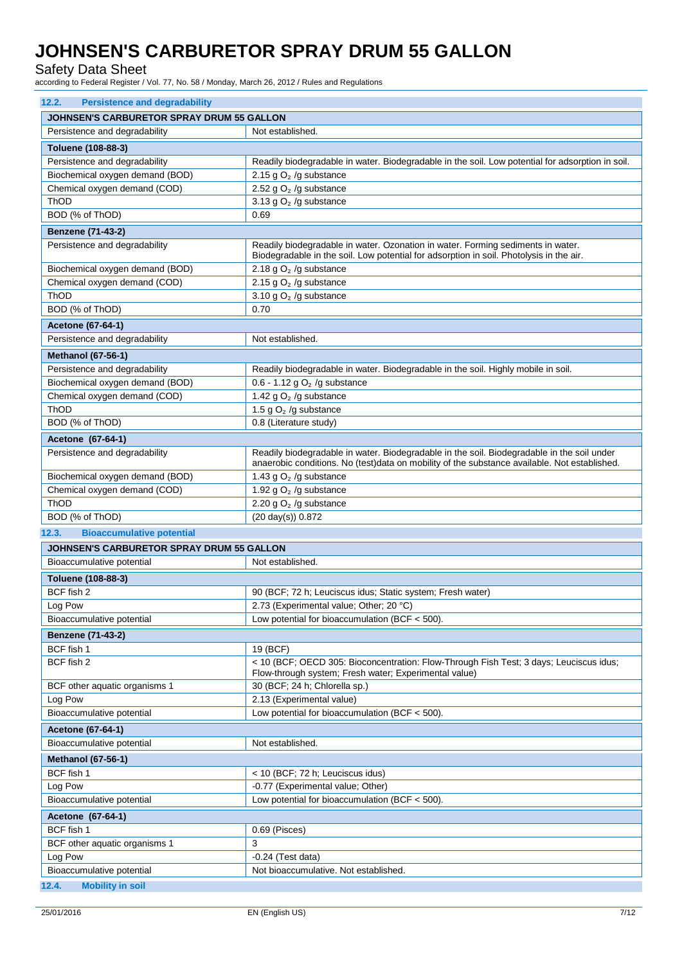Safety Data Sheet

according to Federal Register / Vol. 77, No. 58 / Monday, March 26, 2012 / Rules and Regulations

| <b>Persistence and degradability</b><br>12.2. |                                                                                                                                                                            |  |  |
|-----------------------------------------------|----------------------------------------------------------------------------------------------------------------------------------------------------------------------------|--|--|
| JOHNSEN'S CARBURETOR SPRAY DRUM 55 GALLON     |                                                                                                                                                                            |  |  |
| Persistence and degradability                 | Not established.                                                                                                                                                           |  |  |
| Toluene (108-88-3)                            |                                                                                                                                                                            |  |  |
| Persistence and degradability                 | Readily biodegradable in water. Biodegradable in the soil. Low potential for adsorption in soil.                                                                           |  |  |
| Biochemical oxygen demand (BOD)               | 2.15 g $O2$ /g substance                                                                                                                                                   |  |  |
| Chemical oxygen demand (COD)                  | 2.52 g $O2$ /g substance                                                                                                                                                   |  |  |
| ThOD                                          | 3.13 g $O2$ /g substance                                                                                                                                                   |  |  |
| BOD (% of ThOD)                               | 0.69                                                                                                                                                                       |  |  |
| <b>Benzene (71-43-2)</b>                      |                                                                                                                                                                            |  |  |
| Persistence and degradability                 | Readily biodegradable in water. Ozonation in water. Forming sediments in water.<br>Biodegradable in the soil. Low potential for adsorption in soil. Photolysis in the air. |  |  |
| Biochemical oxygen demand (BOD)               | 2.18 g $O2$ /g substance                                                                                                                                                   |  |  |
| Chemical oxygen demand (COD)                  | 2.15 g $O2$ /g substance                                                                                                                                                   |  |  |
| ThOD                                          | 3.10 g $O2$ /g substance                                                                                                                                                   |  |  |
| BOD (% of ThOD)                               | 0.70                                                                                                                                                                       |  |  |
| <b>Acetone (67-64-1)</b>                      |                                                                                                                                                                            |  |  |
| Persistence and degradability                 | Not established.                                                                                                                                                           |  |  |
| <b>Methanol (67-56-1)</b>                     |                                                                                                                                                                            |  |  |
| Persistence and degradability                 | Readily biodegradable in water. Biodegradable in the soil. Highly mobile in soil.                                                                                          |  |  |
| Biochemical oxygen demand (BOD)               | 0.6 - 1.12 g $O2$ /g substance                                                                                                                                             |  |  |
| Chemical oxygen demand (COD)                  | 1.42 g $O2$ /g substance                                                                                                                                                   |  |  |
| ThOD                                          | 1.5 g $O2$ /g substance                                                                                                                                                    |  |  |
| BOD (% of ThOD)                               | 0.8 (Literature study)                                                                                                                                                     |  |  |
| Acetone (67-64-1)                             |                                                                                                                                                                            |  |  |
| Persistence and degradability                 | Readily biodegradable in water. Biodegradable in the soil. Biodegradable in the soil under                                                                                 |  |  |
|                                               | anaerobic conditions. No (test)data on mobility of the substance available. Not established.                                                                               |  |  |
| Biochemical oxygen demand (BOD)               | 1.43 g $O2$ /g substance                                                                                                                                                   |  |  |
| Chemical oxygen demand (COD)                  | 1.92 g $O2$ /g substance                                                                                                                                                   |  |  |
| ThOD                                          | 2.20 g $O2$ /g substance                                                                                                                                                   |  |  |
| BOD (% of ThOD)                               | (20 day(s)) 0.872                                                                                                                                                          |  |  |
| 12.3.<br><b>Bioaccumulative potential</b>     |                                                                                                                                                                            |  |  |
| JOHNSEN'S CARBURETOR SPRAY DRUM 55 GALLON     |                                                                                                                                                                            |  |  |
| Bioaccumulative potential                     | Not established.                                                                                                                                                           |  |  |
| Toluene (108-88-3)                            |                                                                                                                                                                            |  |  |
| BCF fish 2                                    | 90 (BCF; 72 h; Leuciscus idus; Static system; Fresh water)                                                                                                                 |  |  |
| Log Pow                                       | 2.73 (Experimental value; Other; 20 °C)                                                                                                                                    |  |  |
| Bioaccumulative potential                     | Low potential for bioaccumulation (BCF $<$ 500).                                                                                                                           |  |  |
| <b>Benzene (71-43-2)</b>                      |                                                                                                                                                                            |  |  |
| BCF fish 1                                    | 19 (BCF)                                                                                                                                                                   |  |  |
| BCF fish 2                                    | < 10 (BCF; OECD 305: Bioconcentration: Flow-Through Fish Test; 3 days; Leuciscus idus;<br>Flow-through system; Fresh water; Experimental value)                            |  |  |
| BCF other aquatic organisms 1                 | 30 (BCF; 24 h; Chlorella sp.)                                                                                                                                              |  |  |
| Log Pow                                       | 2.13 (Experimental value)                                                                                                                                                  |  |  |
| Bioaccumulative potential                     | Low potential for bioaccumulation (BCF $<$ 500).                                                                                                                           |  |  |
| <b>Acetone (67-64-1)</b>                      |                                                                                                                                                                            |  |  |
| Bioaccumulative potential                     | Not established.                                                                                                                                                           |  |  |
| <b>Methanol (67-56-1)</b>                     |                                                                                                                                                                            |  |  |
| BCF fish 1                                    | < 10 (BCF; 72 h; Leuciscus idus)                                                                                                                                           |  |  |
| Log Pow                                       | -0.77 (Experimental value; Other)                                                                                                                                          |  |  |
| Bioaccumulative potential                     | Low potential for bioaccumulation (BCF $<$ 500).                                                                                                                           |  |  |
| Acetone (67-64-1)                             |                                                                                                                                                                            |  |  |
| BCF fish 1                                    | 0.69 (Pisces)                                                                                                                                                              |  |  |
| BCF other aquatic organisms 1                 | 3                                                                                                                                                                          |  |  |
| Log Pow                                       | $-0.24$ (Test data)                                                                                                                                                        |  |  |
| Bioaccumulative potential                     | Not bioaccumulative. Not established.                                                                                                                                      |  |  |
| <b>Mobility in soil</b><br>12.4.              |                                                                                                                                                                            |  |  |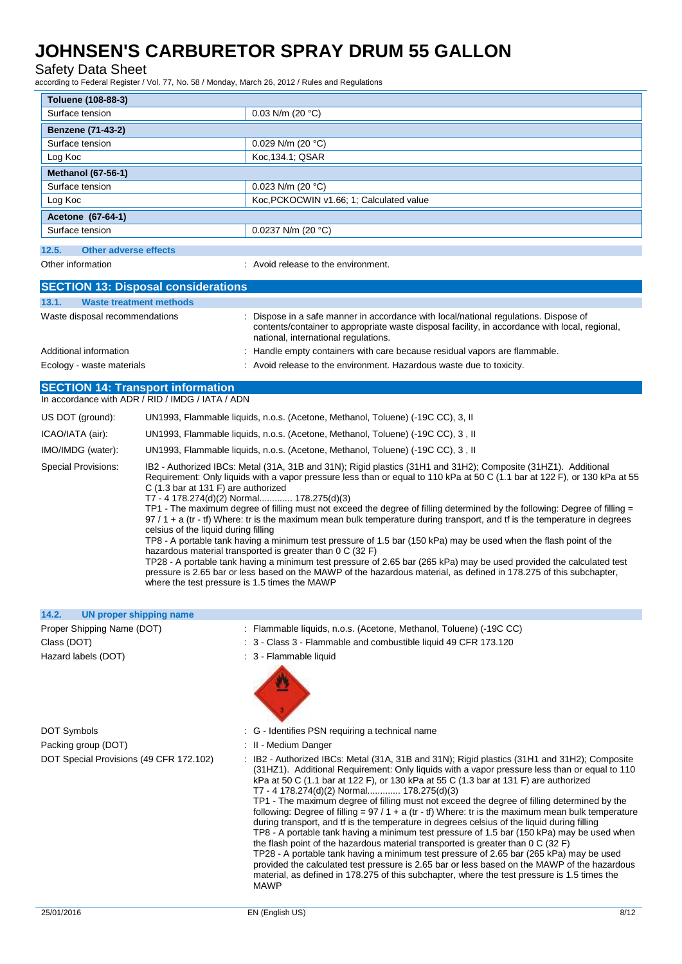### Safety Data Sheet

according to Federal Register / Vol. 77, No. 58 / Monday, March 26, 2012 / Rules and Regulations

| Toluene (108-88-3)                    |                                          |  |
|---------------------------------------|------------------------------------------|--|
| Surface tension                       | 0.03 N/m (20 $^{\circ}$ C)               |  |
| <b>Benzene (71-43-2)</b>              |                                          |  |
| Surface tension                       | 0.029 N/m (20 $^{\circ}$ C)              |  |
| Log Koc                               | Koc, 134.1; QSAR                         |  |
| <b>Methanol (67-56-1)</b>             |                                          |  |
| Surface tension                       | $0.023$ N/m (20 °C)                      |  |
| Log Koc                               | Koc, PCKOCWIN v1.66; 1; Calculated value |  |
| Acetone (67-64-1)                     |                                          |  |
| Surface tension                       | 0.0237 N/m (20 $°C$ )                    |  |
| <b>Other adverse effects</b><br>12.5. |                                          |  |
| Other information                     | : Avoid release to the environment.      |  |

| <b>SECTION 13: Disposal considerations</b> |                                |  |                                                                                                                                                                                                                              |
|--------------------------------------------|--------------------------------|--|------------------------------------------------------------------------------------------------------------------------------------------------------------------------------------------------------------------------------|
| 13.1.                                      | <b>Waste treatment methods</b> |  |                                                                                                                                                                                                                              |
|                                            | Waste disposal recommendations |  | Dispose in a safe manner in accordance with local/national regulations. Dispose of<br>contents/container to appropriate waste disposal facility, in accordance with local, regional,<br>national, international regulations. |
|                                            | Additional information         |  | Handle empty containers with care because residual vapors are flammable.                                                                                                                                                     |
|                                            | Ecology - waste materials      |  | : Avoid release to the environment. Hazardous waste due to toxicity.                                                                                                                                                         |

### **SECTION 14: Transport information**

|                            | In accordance with ADR / RID / IMDG / IATA / ADN                                                                                                                                                                                                                                                                                                                                                                                                                                                                                                                                                                                                                                                                                                                                                                                                                                                                                                                                                                                                                                                                       |
|----------------------------|------------------------------------------------------------------------------------------------------------------------------------------------------------------------------------------------------------------------------------------------------------------------------------------------------------------------------------------------------------------------------------------------------------------------------------------------------------------------------------------------------------------------------------------------------------------------------------------------------------------------------------------------------------------------------------------------------------------------------------------------------------------------------------------------------------------------------------------------------------------------------------------------------------------------------------------------------------------------------------------------------------------------------------------------------------------------------------------------------------------------|
| US DOT (ground):           | UN1993, Flammable liquids, n.o.s. (Acetone, Methanol, Toluene) (-19C CC), 3, II                                                                                                                                                                                                                                                                                                                                                                                                                                                                                                                                                                                                                                                                                                                                                                                                                                                                                                                                                                                                                                        |
| ICAO/IATA (air):           | UN1993, Flammable liquids, n.o.s. (Acetone, Methanol, Toluene) (-19C CC), 3, II                                                                                                                                                                                                                                                                                                                                                                                                                                                                                                                                                                                                                                                                                                                                                                                                                                                                                                                                                                                                                                        |
| IMO/IMDG (water):          | UN1993, Flammable liquids, n.o.s. (Acetone, Methanol, Toluene) (-19C CC), 3, II                                                                                                                                                                                                                                                                                                                                                                                                                                                                                                                                                                                                                                                                                                                                                                                                                                                                                                                                                                                                                                        |
| <b>Special Provisions:</b> | IB2 - Authorized IBCs: Metal (31A, 31B and 31N); Rigid plastics (31H1 and 31H2); Composite (31HZ1). Additional<br>Requirement: Only liquids with a vapor pressure less than or equal to 110 kPa at 50 C (1.1 bar at 122 F), or 130 kPa at 55<br>C (1.3 bar at 131 F) are authorized<br>T7 - 4 178.274(d)(2) Normal 178.275(d)(3)<br>TP1 - The maximum degree of filling must not exceed the degree of filling determined by the following: Degree of filling =<br>97 / 1 + a (tr - tf) Where: tr is the maximum mean bulk temperature during transport, and tf is the temperature in degrees<br>celsius of the liquid during filling<br>TP8 - A portable tank having a minimum test pressure of 1.5 bar (150 kPa) may be used when the flash point of the<br>hazardous material transported is greater than 0 C (32 F)<br>TP28 - A portable tank having a minimum test pressure of 2.65 bar (265 kPa) may be used provided the calculated test<br>pressure is 2.65 bar or less based on the MAWP of the hazardous material, as defined in 178.275 of this subchapter,<br>where the test pressure is 1.5 times the MAWP |

| 14.2.<br>UN proper shipping name        |                                                                                                                                                                                                                                                                                                                                                                                                                                                                                                                                                                                                                                                                                                                                                                                                                                                                                                                                                                                                                                                                                                                                    |
|-----------------------------------------|------------------------------------------------------------------------------------------------------------------------------------------------------------------------------------------------------------------------------------------------------------------------------------------------------------------------------------------------------------------------------------------------------------------------------------------------------------------------------------------------------------------------------------------------------------------------------------------------------------------------------------------------------------------------------------------------------------------------------------------------------------------------------------------------------------------------------------------------------------------------------------------------------------------------------------------------------------------------------------------------------------------------------------------------------------------------------------------------------------------------------------|
| Proper Shipping Name (DOT)              | : Flammable liquids, n.o.s. (Acetone, Methanol, Toluene) (-19C CC)                                                                                                                                                                                                                                                                                                                                                                                                                                                                                                                                                                                                                                                                                                                                                                                                                                                                                                                                                                                                                                                                 |
| Class (DOT)                             | : 3 - Class 3 - Flammable and combustible liquid 49 CFR 173.120                                                                                                                                                                                                                                                                                                                                                                                                                                                                                                                                                                                                                                                                                                                                                                                                                                                                                                                                                                                                                                                                    |
| Hazard labels (DOT)                     | : 3 - Flammable liquid                                                                                                                                                                                                                                                                                                                                                                                                                                                                                                                                                                                                                                                                                                                                                                                                                                                                                                                                                                                                                                                                                                             |
|                                         |                                                                                                                                                                                                                                                                                                                                                                                                                                                                                                                                                                                                                                                                                                                                                                                                                                                                                                                                                                                                                                                                                                                                    |
| <b>DOT Symbols</b>                      | : G - Identifies PSN requiring a technical name                                                                                                                                                                                                                                                                                                                                                                                                                                                                                                                                                                                                                                                                                                                                                                                                                                                                                                                                                                                                                                                                                    |
| Packing group (DOT)                     | : II - Medium Danger                                                                                                                                                                                                                                                                                                                                                                                                                                                                                                                                                                                                                                                                                                                                                                                                                                                                                                                                                                                                                                                                                                               |
| DOT Special Provisions (49 CFR 172.102) | : IB2 - Authorized IBCs: Metal (31A, 31B and 31N); Rigid plastics (31H1 and 31H2); Composite<br>(31HZ1). Additional Requirement: Only liquids with a vapor pressure less than or equal to 110<br>kPa at 50 C (1.1 bar at 122 F), or 130 kPa at 55 C (1.3 bar at 131 F) are authorized<br>T7 - 4 178.274(d)(2) Normal 178.275(d)(3)<br>TP1 - The maximum degree of filling must not exceed the degree of filling determined by the<br>following: Degree of filling = $97/1 + a$ (tr - tf) Where: tr is the maximum mean bulk temperature<br>during transport, and if is the temperature in degrees celsius of the liquid during filling<br>TP8 - A portable tank having a minimum test pressure of 1.5 bar (150 kPa) may be used when<br>the flash point of the hazardous material transported is greater than 0 C (32 F)<br>TP28 - A portable tank having a minimum test pressure of 2.65 bar (265 kPa) may be used<br>provided the calculated test pressure is 2.65 bar or less based on the MAWP of the hazardous<br>material, as defined in 178.275 of this subchapter, where the test pressure is 1.5 times the<br><b>MAWP</b> |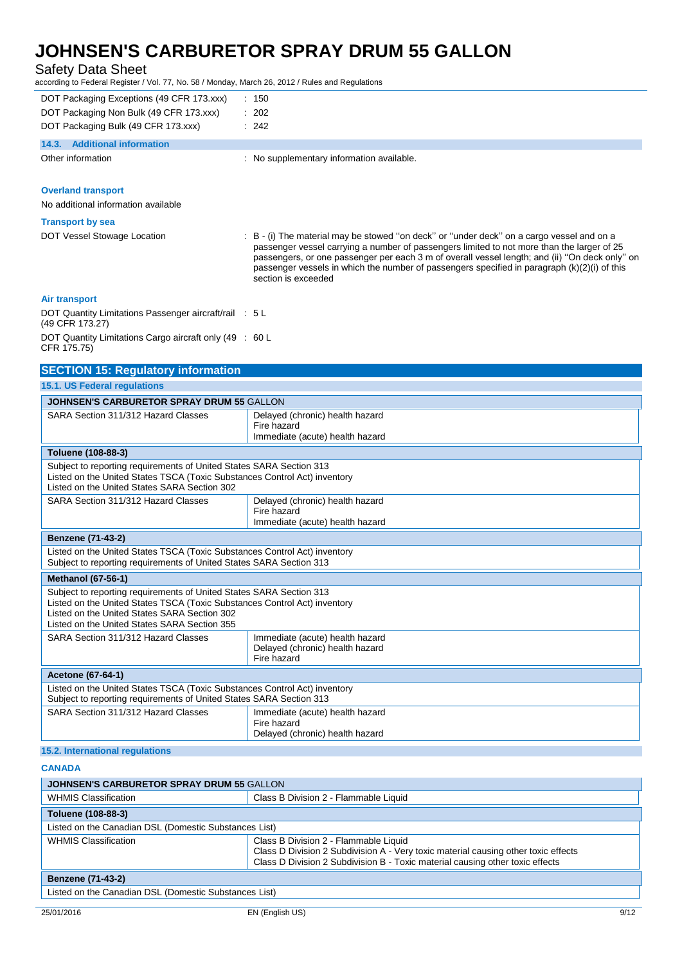| <b>Safety Data Sheet</b><br>according to Federal Register / Vol. 77, No. 58 / Monday, March 26, 2012 / Rules and Regulations                                                                     |                                                                                                                                                                                                                                                                                                                                                                                                                |
|--------------------------------------------------------------------------------------------------------------------------------------------------------------------------------------------------|----------------------------------------------------------------------------------------------------------------------------------------------------------------------------------------------------------------------------------------------------------------------------------------------------------------------------------------------------------------------------------------------------------------|
| DOT Packaging Exceptions (49 CFR 173.xxx)                                                                                                                                                        | : 150                                                                                                                                                                                                                                                                                                                                                                                                          |
| DOT Packaging Non Bulk (49 CFR 173.xxx)                                                                                                                                                          | : 202                                                                                                                                                                                                                                                                                                                                                                                                          |
|                                                                                                                                                                                                  |                                                                                                                                                                                                                                                                                                                                                                                                                |
| DOT Packaging Bulk (49 CFR 173.xxx)                                                                                                                                                              | : 242                                                                                                                                                                                                                                                                                                                                                                                                          |
| 14.3. Additional information                                                                                                                                                                     |                                                                                                                                                                                                                                                                                                                                                                                                                |
| Other information                                                                                                                                                                                | : No supplementary information available.                                                                                                                                                                                                                                                                                                                                                                      |
| <b>Overland transport</b>                                                                                                                                                                        |                                                                                                                                                                                                                                                                                                                                                                                                                |
| No additional information available                                                                                                                                                              |                                                                                                                                                                                                                                                                                                                                                                                                                |
| <b>Transport by sea</b>                                                                                                                                                                          |                                                                                                                                                                                                                                                                                                                                                                                                                |
| DOT Vessel Stowage Location                                                                                                                                                                      | B - (i) The material may be stowed "on deck" or "under deck" on a cargo vessel and on a<br>passenger vessel carrying a number of passengers limited to not more than the larger of 25<br>passengers, or one passenger per each 3 m of overall vessel length; and (ii) "On deck only" on<br>passenger vessels in which the number of passengers specified in paragraph (k)(2)(i) of this<br>section is exceeded |
| <b>Air transport</b>                                                                                                                                                                             |                                                                                                                                                                                                                                                                                                                                                                                                                |
| DOT Quantity Limitations Passenger aircraft/rail : 5 L<br>(49 CFR 173.27)                                                                                                                        |                                                                                                                                                                                                                                                                                                                                                                                                                |
| DOT Quantity Limitations Cargo aircraft only (49 : 60 L<br>CFR 175.75)                                                                                                                           |                                                                                                                                                                                                                                                                                                                                                                                                                |
| <b>SECTION 15: Regulatory information</b>                                                                                                                                                        |                                                                                                                                                                                                                                                                                                                                                                                                                |
| <b>15.1. US Federal regulations</b>                                                                                                                                                              |                                                                                                                                                                                                                                                                                                                                                                                                                |
| JOHNSEN'S CARBURETOR SPRAY DRUM 55 GALLON                                                                                                                                                        |                                                                                                                                                                                                                                                                                                                                                                                                                |
| SARA Section 311/312 Hazard Classes                                                                                                                                                              | Delayed (chronic) health hazard                                                                                                                                                                                                                                                                                                                                                                                |
|                                                                                                                                                                                                  | Fire hazard<br>Immediate (acute) health hazard                                                                                                                                                                                                                                                                                                                                                                 |
| Toluene (108-88-3)                                                                                                                                                                               |                                                                                                                                                                                                                                                                                                                                                                                                                |
| Subject to reporting requirements of United States SARA Section 313<br>Listed on the United States TSCA (Toxic Substances Control Act) inventory<br>Listed on the United States SARA Section 302 |                                                                                                                                                                                                                                                                                                                                                                                                                |
| SARA Section 311/312 Hazard Classes                                                                                                                                                              | Delayed (chronic) health hazard                                                                                                                                                                                                                                                                                                                                                                                |
|                                                                                                                                                                                                  | Fire hazard<br>Immediate (acute) health hazard                                                                                                                                                                                                                                                                                                                                                                 |
| <b>Benzene (71-43-2)</b>                                                                                                                                                                         |                                                                                                                                                                                                                                                                                                                                                                                                                |
| Listed on the United States TSCA (Toxic Substances Control Act) inventory<br>Subject to reporting requirements of United States SARA Section 313                                                 |                                                                                                                                                                                                                                                                                                                                                                                                                |
| <b>Methanol (67-56-1)</b>                                                                                                                                                                        |                                                                                                                                                                                                                                                                                                                                                                                                                |
| Subject to reporting requirements of United States SARA Section 313                                                                                                                              |                                                                                                                                                                                                                                                                                                                                                                                                                |
| Listed on the United States TSCA (Toxic Substances Control Act) inventory<br>Listed on the United States SARA Section 302<br>Listed on the United States SARA Section 355                        |                                                                                                                                                                                                                                                                                                                                                                                                                |
| SARA Section 311/312 Hazard Classes                                                                                                                                                              | Immediate (acute) health hazard<br>Delayed (chronic) health hazard<br>Fire hazard                                                                                                                                                                                                                                                                                                                              |
| <b>Acetone (67-64-1)</b>                                                                                                                                                                         |                                                                                                                                                                                                                                                                                                                                                                                                                |
| Listed on the United States TSCA (Toxic Substances Control Act) inventory<br>Subject to reporting requirements of United States SARA Section 313                                                 |                                                                                                                                                                                                                                                                                                                                                                                                                |
| SARA Section 311/312 Hazard Classes                                                                                                                                                              | Immediate (acute) health hazard<br>Fire hazard<br>Delayed (chronic) health hazard                                                                                                                                                                                                                                                                                                                              |
| 15.2. International regulations                                                                                                                                                                  |                                                                                                                                                                                                                                                                                                                                                                                                                |
| <b>CANADA</b>                                                                                                                                                                                    |                                                                                                                                                                                                                                                                                                                                                                                                                |
| JOHNSEN'S CARBURETOR SPRAY DRUM 55 GALLON                                                                                                                                                        |                                                                                                                                                                                                                                                                                                                                                                                                                |
| <b>WHMIS Classification</b>                                                                                                                                                                      | Class B Division 2 - Flammable Liquid                                                                                                                                                                                                                                                                                                                                                                          |
|                                                                                                                                                                                                  |                                                                                                                                                                                                                                                                                                                                                                                                                |
| Toluene (108-88-3)                                                                                                                                                                               |                                                                                                                                                                                                                                                                                                                                                                                                                |
| Listed on the Canadian DSL (Domestic Substances List)<br><b>WHMIS Classification</b>                                                                                                             |                                                                                                                                                                                                                                                                                                                                                                                                                |
|                                                                                                                                                                                                  | Class B Division 2 - Flammable Liquid<br>Class D Division 2 Subdivision A - Very toxic material causing other toxic effects<br>Class D Division 2 Subdivision B - Toxic material causing other toxic effects                                                                                                                                                                                                   |
| <b>Benzene (71-43-2)</b>                                                                                                                                                                         |                                                                                                                                                                                                                                                                                                                                                                                                                |

Listed on the Canadian DSL (Domestic Substances List)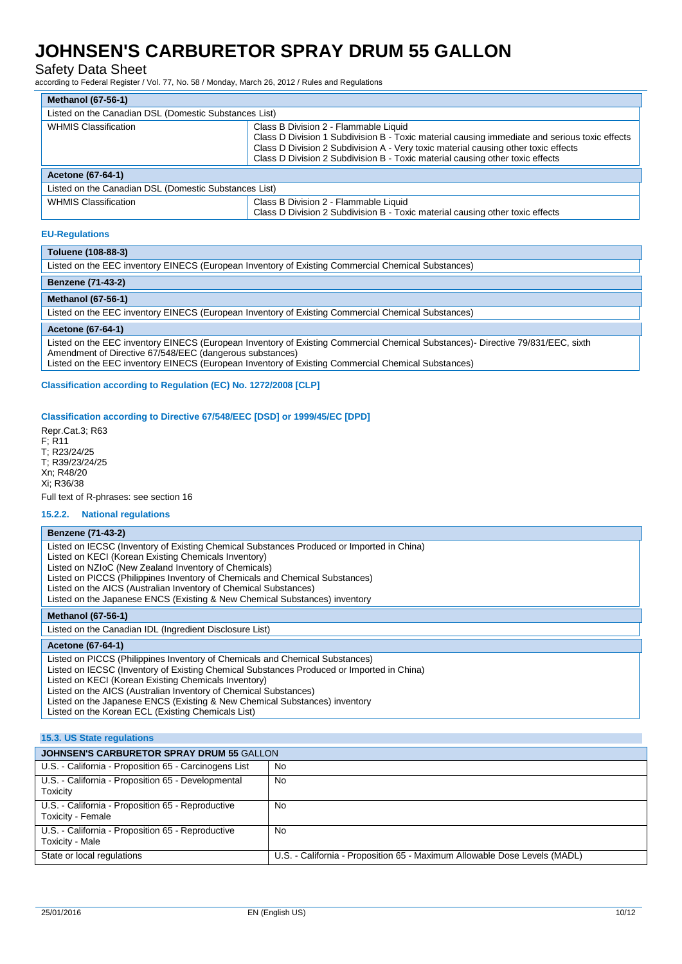### Safety Data Sheet

according to Federal Register / Vol. 77, No. 58 / Monday, March 26, 2012 / Rules and Regulations

| <b>Methanol (67-56-1)</b>                             |                                                                                                                                                                                                                                                                                                               |  |
|-------------------------------------------------------|---------------------------------------------------------------------------------------------------------------------------------------------------------------------------------------------------------------------------------------------------------------------------------------------------------------|--|
| Listed on the Canadian DSL (Domestic Substances List) |                                                                                                                                                                                                                                                                                                               |  |
| <b>WHMIS Classification</b>                           | Class B Division 2 - Flammable Liquid<br>Class D Division 1 Subdivision B - Toxic material causing immediate and serious toxic effects<br>Class D Division 2 Subdivision A - Very toxic material causing other toxic effects<br>Class D Division 2 Subdivision B - Toxic material causing other toxic effects |  |
| <b>Acetone (67-64-1)</b>                              |                                                                                                                                                                                                                                                                                                               |  |
| Listed on the Canadian DSL (Domestic Substances List) |                                                                                                                                                                                                                                                                                                               |  |
| <b>WHMIS Classification</b>                           | Class B Division 2 - Flammable Liquid<br>Class D Division 2 Subdivision B - Toxic material causing other toxic effects                                                                                                                                                                                        |  |

### **EU-Regulations**

| Toluene (108-88-3)                                                                                                                                                                                                                                                                                |
|---------------------------------------------------------------------------------------------------------------------------------------------------------------------------------------------------------------------------------------------------------------------------------------------------|
| Listed on the EEC inventory EINECS (European Inventory of Existing Commercial Chemical Substances)                                                                                                                                                                                                |
| <b>Benzene (71-43-2)</b>                                                                                                                                                                                                                                                                          |
| <b>Methanol (67-56-1)</b>                                                                                                                                                                                                                                                                         |
| Listed on the EEC inventory EINECS (European Inventory of Existing Commercial Chemical Substances)                                                                                                                                                                                                |
| Acetone (67-64-1)                                                                                                                                                                                                                                                                                 |
| Listed on the EEC inventory EINECS (European Inventory of Existing Commercial Chemical Substances)- Directive 79/831/EEC, sixth<br>Amendment of Directive 67/548/EEC (dangerous substances)<br>Listed on the EEC inventory EINECS (European Inventory of Existing Commercial Chemical Substances) |

#### **Classification according to Regulation (EC) No. 1272/2008 [CLP]**

#### **Classification according to Directive 67/548/EEC [DSD] or 1999/45/EC [DPD]**

Repr.Cat.3; R63 F; R11 T; R23/24/25 T; R39/23/24/25 Xn; R48/20 Xi; R36/38 Full text of R-phrases: see section 16

#### **15.2.2. National regulations**

#### **Benzene (71-43-2)**

Listed on IECSC (Inventory of Existing Chemical Substances Produced or Imported in China)

Listed on KECI (Korean Existing Chemicals Inventory)

Listed on NZIoC (New Zealand Inventory of Chemicals) Listed on PICCS (Philippines Inventory of Chemicals and Chemical Substances)

Listed on the AICS (Australian Inventory of Chemical Substances)

Listed on the Japanese ENCS (Existing & New Chemical Substances) inventory

**Methanol (67-56-1)**

Listed on the Canadian IDL (Ingredient Disclosure List)

### **Acetone (67-64-1)**

Listed on PICCS (Philippines Inventory of Chemicals and Chemical Substances)

Listed on IECSC (Inventory of Existing Chemical Substances Produced or Imported in China)

Listed on KECI (Korean Existing Chemicals Inventory)

Listed on the AICS (Australian Inventory of Chemical Substances)

Listed on the Japanese ENCS (Existing & New Chemical Substances) inventory

Listed on the Korean ECL (Existing Chemicals List)

### **15.3. US State regulations**

| <b>JOHNSEN'S CARBURETOR SPRAY DRUM 55 GALLON</b>                       |                                                                           |
|------------------------------------------------------------------------|---------------------------------------------------------------------------|
| U.S. California - Proposition 65 - Carcinogens List                    | No                                                                        |
| U.S. - California - Proposition 65 - Developmental<br>Toxicity         | <b>No</b>                                                                 |
| U.S. - California - Proposition 65 - Reproductive<br>Toxicity - Female | <b>No</b>                                                                 |
| U.S. - California - Proposition 65 - Reproductive<br>Toxicity - Male   | No                                                                        |
| State or local regulations                                             | U.S. - California - Proposition 65 - Maximum Allowable Dose Levels (MADL) |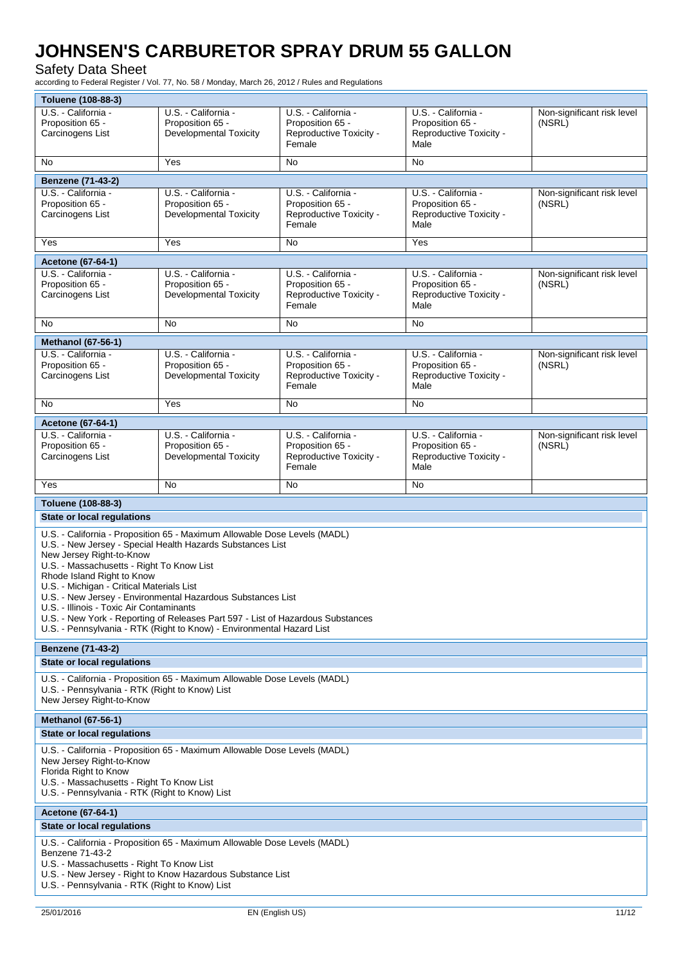Safety Data Sheet

according to Federal Register / Vol. 77, No. 58 / Monday, March 26, 2012 / Rules and Regulations

| Toluene (108-88-3)                                                                                                                                                                                                                                                                                                                                                                                                                                                                                                                                                 |                                                                          |                                                                              |                                                                            |                                      |  |
|--------------------------------------------------------------------------------------------------------------------------------------------------------------------------------------------------------------------------------------------------------------------------------------------------------------------------------------------------------------------------------------------------------------------------------------------------------------------------------------------------------------------------------------------------------------------|--------------------------------------------------------------------------|------------------------------------------------------------------------------|----------------------------------------------------------------------------|--------------------------------------|--|
| U.S. - California -<br>Proposition 65 -<br>Carcinogens List                                                                                                                                                                                                                                                                                                                                                                                                                                                                                                        | U.S. - California -<br>Proposition 65 -<br><b>Developmental Toxicity</b> | U.S. - California -<br>Proposition 65 -<br>Reproductive Toxicity -<br>Female | U.S. - California -<br>Proposition 65 -<br>Reproductive Toxicity -<br>Male | Non-significant risk level<br>(NSRL) |  |
| No                                                                                                                                                                                                                                                                                                                                                                                                                                                                                                                                                                 | Yes                                                                      | No                                                                           | No                                                                         |                                      |  |
| <b>Benzene (71-43-2)</b>                                                                                                                                                                                                                                                                                                                                                                                                                                                                                                                                           |                                                                          |                                                                              |                                                                            |                                      |  |
| U.S. - California -<br>Proposition 65 -<br>Carcinogens List                                                                                                                                                                                                                                                                                                                                                                                                                                                                                                        | U.S. - California -<br>Proposition 65 -<br><b>Developmental Toxicity</b> | U.S. - California -<br>Proposition 65 -<br>Reproductive Toxicity -<br>Female | U.S. - California -<br>Proposition 65 -<br>Reproductive Toxicity -<br>Male | Non-significant risk level<br>(NSRL) |  |
| Yes                                                                                                                                                                                                                                                                                                                                                                                                                                                                                                                                                                | Yes                                                                      | No                                                                           | Yes                                                                        |                                      |  |
| <b>Acetone (67-64-1)</b>                                                                                                                                                                                                                                                                                                                                                                                                                                                                                                                                           |                                                                          |                                                                              |                                                                            |                                      |  |
| U.S. - California -<br>Proposition 65 -<br>Carcinogens List                                                                                                                                                                                                                                                                                                                                                                                                                                                                                                        | U.S. - California -<br>Proposition 65 -<br><b>Developmental Toxicity</b> | U.S. - California -<br>Proposition 65 -<br>Reproductive Toxicity -<br>Female | U.S. - California -<br>Proposition 65 -<br>Reproductive Toxicity -<br>Male | Non-significant risk level<br>(NSRL) |  |
| No                                                                                                                                                                                                                                                                                                                                                                                                                                                                                                                                                                 | <b>No</b>                                                                | No                                                                           | No                                                                         |                                      |  |
| <b>Methanol (67-56-1)</b>                                                                                                                                                                                                                                                                                                                                                                                                                                                                                                                                          |                                                                          |                                                                              |                                                                            |                                      |  |
| U.S. California<br>Proposition 65 -<br>Carcinogens List                                                                                                                                                                                                                                                                                                                                                                                                                                                                                                            | U.S. - California -<br>Proposition 65 -<br><b>Developmental Toxicity</b> | U.S. - California -<br>Proposition 65 -<br>Reproductive Toxicity -<br>Female | U.S. - California -<br>Proposition 65 -<br>Reproductive Toxicity -<br>Male | Non-significant risk level<br>(NSRL) |  |
| No                                                                                                                                                                                                                                                                                                                                                                                                                                                                                                                                                                 | Yes                                                                      | No                                                                           | No                                                                         |                                      |  |
| Acetone (67-64-1)                                                                                                                                                                                                                                                                                                                                                                                                                                                                                                                                                  |                                                                          |                                                                              |                                                                            |                                      |  |
| U.S. - California -<br>Proposition 65 -<br>Carcinogens List                                                                                                                                                                                                                                                                                                                                                                                                                                                                                                        | U.S. - California -<br>Proposition 65 -<br><b>Developmental Toxicity</b> | U.S. - California -<br>Proposition 65 -<br>Reproductive Toxicity -<br>Female | U.S. - California -<br>Proposition 65 -<br>Reproductive Toxicity -<br>Male | Non-significant risk level<br>(NSRL) |  |
| Yes                                                                                                                                                                                                                                                                                                                                                                                                                                                                                                                                                                | No                                                                       | No                                                                           | <b>No</b>                                                                  |                                      |  |
| Toluene (108-88-3)                                                                                                                                                                                                                                                                                                                                                                                                                                                                                                                                                 |                                                                          |                                                                              |                                                                            |                                      |  |
| State or local regulations                                                                                                                                                                                                                                                                                                                                                                                                                                                                                                                                         |                                                                          |                                                                              |                                                                            |                                      |  |
| U.S. - California - Proposition 65 - Maximum Allowable Dose Levels (MADL)<br>U.S. - New Jersey - Special Health Hazards Substances List<br>New Jersey Right-to-Know<br>U.S. - Massachusetts - Right To Know List<br>Rhode Island Right to Know<br>U.S. - Michigan - Critical Materials List<br>U.S. - New Jersey - Environmental Hazardous Substances List<br>U.S. - Illinois - Toxic Air Contaminants<br>U.S. - New York - Reporting of Releases Part 597 - List of Hazardous Substances<br>U.S. - Pennsylvania - RTK (Right to Know) - Environmental Hazard List |                                                                          |                                                                              |                                                                            |                                      |  |
| <b>Benzene (71-43-2)</b>                                                                                                                                                                                                                                                                                                                                                                                                                                                                                                                                           |                                                                          |                                                                              |                                                                            |                                      |  |
| <b>State or local requlations</b>                                                                                                                                                                                                                                                                                                                                                                                                                                                                                                                                  |                                                                          |                                                                              |                                                                            |                                      |  |
| U.S. - California - Proposition 65 - Maximum Allowable Dose Levels (MADL)<br>U.S. - Pennsylvania - RTK (Right to Know) List<br>New Jersey Right-to-Know                                                                                                                                                                                                                                                                                                                                                                                                            |                                                                          |                                                                              |                                                                            |                                      |  |
| <b>Methanol (67-56-1)</b>                                                                                                                                                                                                                                                                                                                                                                                                                                                                                                                                          |                                                                          |                                                                              |                                                                            |                                      |  |
| <b>State or local regulations</b>                                                                                                                                                                                                                                                                                                                                                                                                                                                                                                                                  |                                                                          |                                                                              |                                                                            |                                      |  |
| U.S. - California - Proposition 65 - Maximum Allowable Dose Levels (MADL)<br>New Jersey Right-to-Know<br>Florida Right to Know<br>U.S. - Massachusetts - Right To Know List<br>U.S. - Pennsylvania - RTK (Right to Know) List                                                                                                                                                                                                                                                                                                                                      |                                                                          |                                                                              |                                                                            |                                      |  |
| <b>Acetone (67-64-1)</b>                                                                                                                                                                                                                                                                                                                                                                                                                                                                                                                                           |                                                                          |                                                                              |                                                                            |                                      |  |
| <b>State or local regulations</b>                                                                                                                                                                                                                                                                                                                                                                                                                                                                                                                                  |                                                                          |                                                                              |                                                                            |                                      |  |
| U.S. - California - Proposition 65 - Maximum Allowable Dose Levels (MADL)<br>Benzene 71-43-2<br>U.S. - Massachusetts - Right To Know List<br>U.S. - New Jersey - Right to Know Hazardous Substance List<br>U.S. - Pennsylvania - RTK (Right to Know) List                                                                                                                                                                                                                                                                                                          |                                                                          |                                                                              |                                                                            |                                      |  |